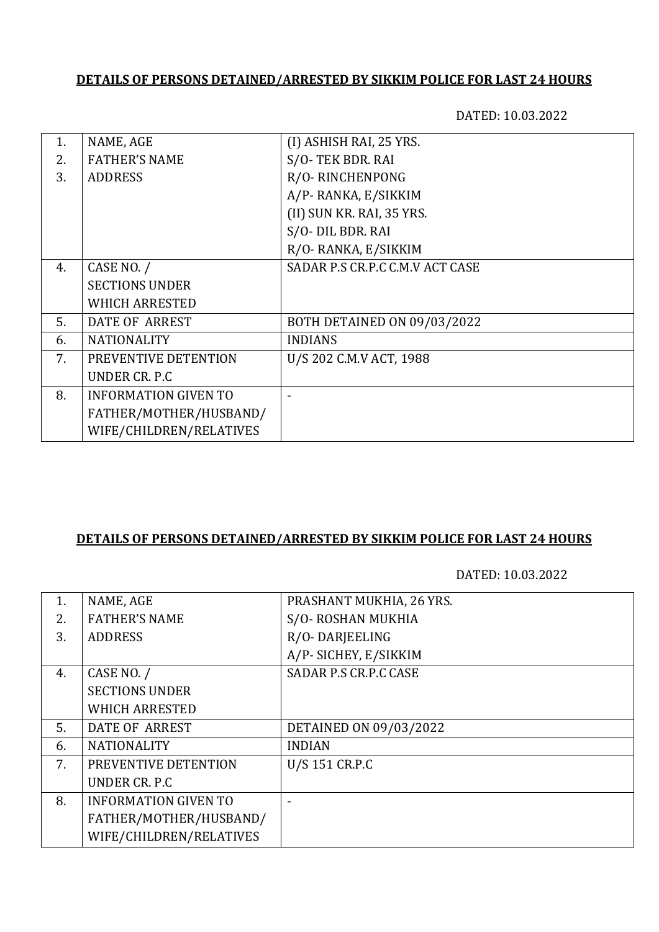## **DETAILS OF PERSONS DETAINED/ARRESTED BY SIKKIM POLICE FOR LAST 24 HOURS**

DATED: 10.03.2022

| 1. | NAME, AGE                   | (I) ASHISH RAI, 25 YRS.         |
|----|-----------------------------|---------------------------------|
| 2. | <b>FATHER'S NAME</b>        | S/O-TEK BDR. RAI                |
| 3. | <b>ADDRESS</b>              | R/O-RINCHENPONG                 |
|    |                             | A/P-RANKA, E/SIKKIM             |
|    |                             | (II) SUN KR. RAI, 35 YRS.       |
|    |                             | S/O- DIL BDR. RAI               |
|    |                             | R/O-RANKA, E/SIKKIM             |
| 4. | CASE NO. /                  | SADAR P.S CR.P.C C.M.V ACT CASE |
|    | <b>SECTIONS UNDER</b>       |                                 |
|    | <b>WHICH ARRESTED</b>       |                                 |
| 5. | DATE OF ARREST              | BOTH DETAINED ON 09/03/2022     |
| 6. | <b>NATIONALITY</b>          | <b>INDIANS</b>                  |
| 7. | PREVENTIVE DETENTION        | U/S 202 C.M.V ACT, 1988         |
|    | UNDER CR. P.C               |                                 |
| 8. | <b>INFORMATION GIVEN TO</b> |                                 |
|    | FATHER/MOTHER/HUSBAND/      |                                 |
|    | WIFE/CHILDREN/RELATIVES     |                                 |
|    |                             |                                 |

#### **DETAILS OF PERSONS DETAINED/ARRESTED BY SIKKIM POLICE FOR LAST 24 HOURS**

DATED: 10.03.2022

| NAME, AGE                   | PRASHANT MUKHIA, 26 YRS.     |
|-----------------------------|------------------------------|
| <b>FATHER'S NAME</b>        | S/O-ROSHAN MUKHIA            |
| <b>ADDRESS</b>              | R/O-DARJEELING               |
|                             | A/P- SICHEY, E/SIKKIM        |
| CASE NO. /                  | <b>SADAR P.S CR.P.C CASE</b> |
| <b>SECTIONS UNDER</b>       |                              |
| <b>WHICH ARRESTED</b>       |                              |
| <b>DATE OF ARREST</b>       | DETAINED ON 09/03/2022       |
| <b>NATIONALITY</b>          | <b>INDIAN</b>                |
| PREVENTIVE DETENTION        | U/S 151 CR.P.C               |
| UNDER CR. P.C.              |                              |
| <b>INFORMATION GIVEN TO</b> |                              |
| FATHER/MOTHER/HUSBAND/      |                              |
| WIFE/CHILDREN/RELATIVES     |                              |
|                             |                              |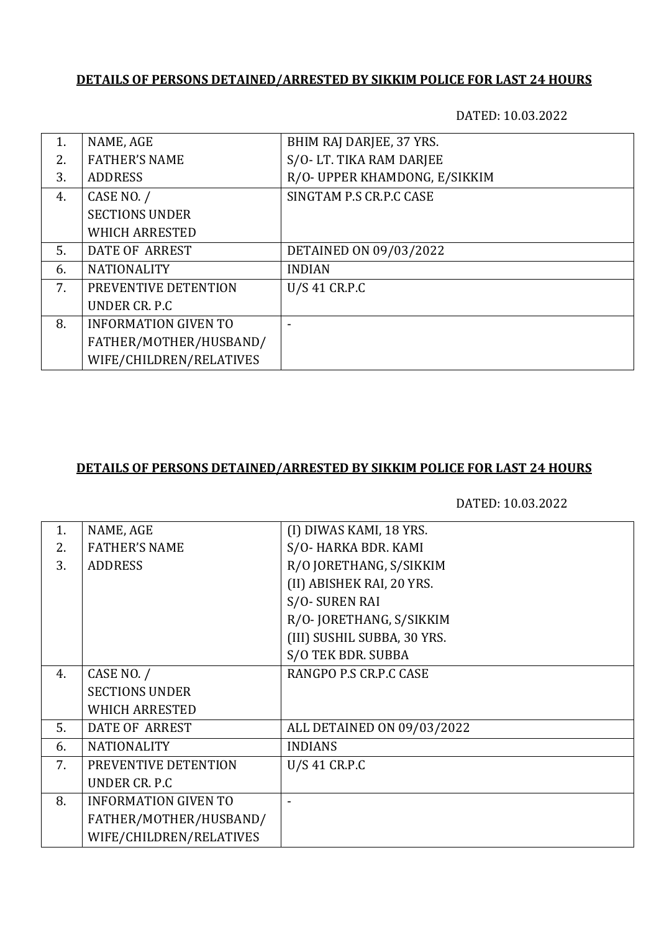## **DETAILS OF PERSONS DETAINED/ARRESTED BY SIKKIM POLICE FOR LAST 24 HOURS**

DATED: 10.03.2022

| 1. | NAME, AGE                   | BHIM RAJ DARJEE, 37 YRS.      |
|----|-----------------------------|-------------------------------|
| 2. | <b>FATHER'S NAME</b>        | S/O-LT. TIKA RAM DARJEE       |
| 3. | <b>ADDRESS</b>              | R/O- UPPER KHAMDONG, E/SIKKIM |
| 4. | CASE NO. /                  | SINGTAM P.S CR.P.C CASE       |
|    | <b>SECTIONS UNDER</b>       |                               |
|    | <b>WHICH ARRESTED</b>       |                               |
| 5. | DATE OF ARREST              | DETAINED ON 09/03/2022        |
| 6. | <b>NATIONALITY</b>          | <b>INDIAN</b>                 |
| 7. | PREVENTIVE DETENTION        | U/S 41 CR.P.C                 |
|    | UNDER CR. P.C               |                               |
| 8. | <b>INFORMATION GIVEN TO</b> |                               |
|    | FATHER/MOTHER/HUSBAND/      |                               |
|    | WIFE/CHILDREN/RELATIVES     |                               |

#### **DETAILS OF PERSONS DETAINED/ARRESTED BY SIKKIM POLICE FOR LAST 24 HOURS**

DATED: 10.03.2022

| 1. | NAME, AGE                   | (I) DIWAS KAMI, 18 YRS.     |
|----|-----------------------------|-----------------------------|
| 2. | <b>FATHER'S NAME</b>        | S/O-HARKA BDR. KAMI         |
| 3. | <b>ADDRESS</b>              | R/O JORETHANG, S/SIKKIM     |
|    |                             | (II) ABISHEK RAI, 20 YRS.   |
|    |                             | S/O-SUREN RAI               |
|    |                             | R/O-JORETHANG, S/SIKKIM     |
|    |                             | (III) SUSHIL SUBBA, 30 YRS. |
|    |                             | S/O TEK BDR. SUBBA          |
| 4. | CASE NO. /                  | RANGPO P.S CR.P.C CASE      |
|    | <b>SECTIONS UNDER</b>       |                             |
|    | <b>WHICH ARRESTED</b>       |                             |
| 5. | DATE OF ARREST              | ALL DETAINED ON 09/03/2022  |
| 6. | <b>NATIONALITY</b>          | <b>INDIANS</b>              |
| 7. | PREVENTIVE DETENTION        | U/S 41 CR.P.C               |
|    | UNDER CR. P.C.              |                             |
| 8. | <b>INFORMATION GIVEN TO</b> |                             |
|    | FATHER/MOTHER/HUSBAND/      |                             |
|    | WIFE/CHILDREN/RELATIVES     |                             |